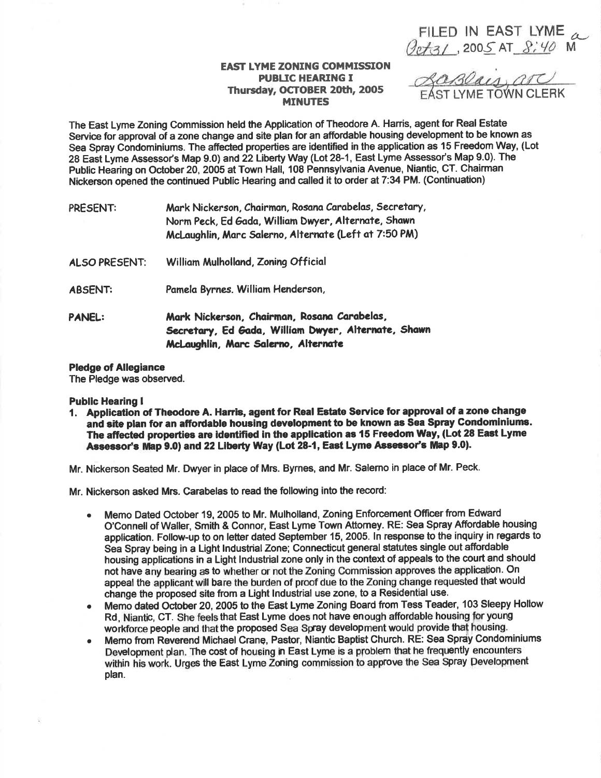FILED IN EAST LYME  $\alpha$ <br>Qet3/, 2005 AT 8:40 M

## **EAST LYME ZONING COMMISSION PUBLIC HEARING I** Thursday, OCTOBER 20th, 2005 **MINUTES**

LaBlais, are

The East Lyme Zoning Commission held the Application of Theodore A. Harris, agent for Real Estate Service for approval of a zone change and site plan for an affordable housing development to be known as Sea Spray Condominiums. The affected properties are identified in the application as 15 Freedom Way, (Lot 28 East Lyme Assessor's Map 9.0) and 22 Liberty Way (Lot 28-1, East Lyme Assessor's Map 9.0). The Public Hearing on October 20, 2005 at Town Hall, 108 Pennsylvania Avenue, Niantic, CT. Chairman Nickerson opened the continued Public Hearing and called it to order at 7:34 PM. (Continuation)

| PRESENT:             | Mark Nickerson, Chairman, Rosana Carabelas, Secretary,<br>Norm Peck, Ed Gada, William Dwyer, Alternate, Shawn<br>McLaughlin, Marc Salerno, Alternate (Left at 7:50 PM) |
|----------------------|------------------------------------------------------------------------------------------------------------------------------------------------------------------------|
| <b>ALSO PRESENT:</b> | William Mulholland, Zoning Official                                                                                                                                    |
| <b>ABSENT:</b>       | Pamela Byrnes. William Henderson,                                                                                                                                      |
| <b>PANEL:</b>        | Mark Nickerson, Chairman, Rosana Carabelas,<br>Secretary, Ed Gada, William Dwyer, Alternate, Shawn<br>McLaughlin, Marc Salerno, Alternate                              |

## **Pledge of Allegiance**

The Pledge was observed.

## **Public Hearing I**

1. Application of Theodore A. Harris, agent for Real Estate Service for approval of a zone change and site plan for an affordable housing development to be known as Sea Spray Condominiums. The affected properties are identified in the application as 15 Freedom Way, (Lot 28 East Lyme Assessor's Map 9.0) and 22 Liberty Way (Lot 28-1. East Lyme Assessor's Map 9.0).

Mr. Nickerson Seated Mr. Dwyer in place of Mrs. Byrnes, and Mr. Salerno in place of Mr. Peck.

Mr. Nickerson asked Mrs. Carabelas to read the following into the record:

- Memo Dated October 19, 2005 to Mr. Mulholland, Zoning Enforcement Officer from Edward O'Connell of Waller, Smith & Connor, East Lyme Town Attorney. RE: Sea Spray Affordable housing application. Follow-up to on letter dated September 15, 2005. In response to the inquiry in regards to Sea Spray being in a Light Industrial Zone; Connecticut general statutes single out affordable housing applications in a Light Industrial zone only in the context of appeals to the court and should not have any bearing as to whether or not the Zoning Commission approves the application. On appeal the applicant will bare the burden of proof due to the Zoning change requested that would change the proposed site from a Light Industrial use zone, to a Residential use.
- Memo dated October 20, 2005 to the East Lyme Zoning Board from Tess Teader, 103 Sleepy Hollow Rd, Niantic, CT. She feels that East Lyme does not have enough affordable housing for young workforce people and that the proposed Sea Spray development would provide that housing.
- Memo from Reverend Michael Crane, Pastor, Niantic Baptist Church. RE: Sea Spray Condominiums Development plan. The cost of housing in East Lyme is a problem that he frequently encounters within his work. Urges the East Lyme Zoning commission to approve the Sea Spray Development plan.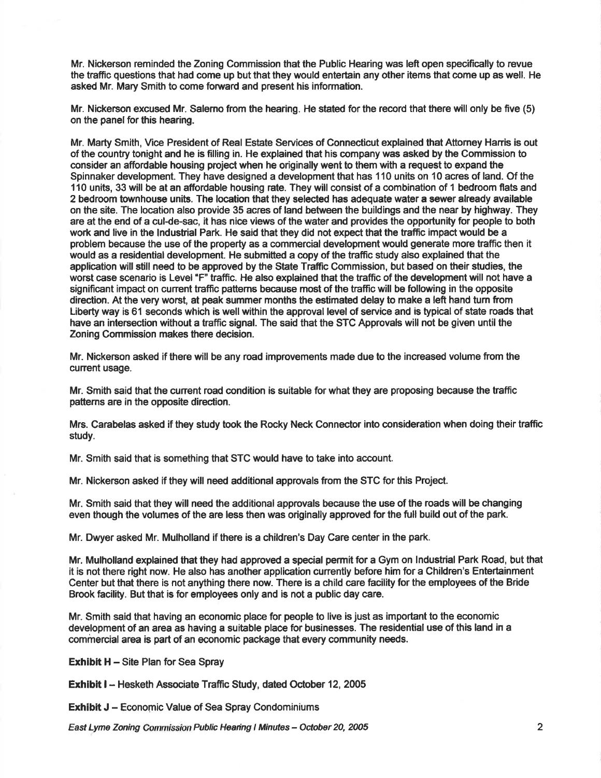Mr. Nickerson reminded the Zoning Commission that the Public Hearing was left open specifically to revue the traffic questions that had come up but that they would entertain any other items that come up as well. He asked Mr. Mary Smith to come forward and present his information.

Mr. Nickerson excused Mr. Salemo from the hearing. He stated for the record that there will only be five (5) on the panel for this hearing.

Mr. Marty Smith, Vice President of Real Estate Services of Gonnecticut explained thatAttomey Hanis is out of the country tonight and he is filling in. He explained that his company was asked by the Commission to consider an affordable housing project when he originally went to them with a request to expand the Spinnaker development. They have designed a development that has 110 units on 10 acres of land. Of the 110 units, 33 will be at an affordable housing rate. They will consist of a combination of 1 bedroom flats and 2 bedroom townhouse unfts. The location that they selected has adequate water a sewer already available on the site. The location also provide 35 acres of land between the buildings and the near by highway. They are at the end of a cul-de-sac, it has nice views of the water and provides the opportunity for people to both work and live in the Industrial Park. He said that they did not expect that the traffic impact would be a problem because the use of the property as a commercial development would generate more traffic then it would as a residential development. He submitted a copy of the traffic study also explained that the application will still need to be approved by the State Traffic Commission, but based on their studies, the worst case scenario is Level "F" traffic. He also explained that the traffic of the development will not have a significant impact on cunent trafftc pattems because most of the traffic will be following in the opposite direction. At the very worst, at peak summer months the estimated delay to make a left hand turn from Liberty way is 61 seconds which is well within the approval level of service and is typical of state roads that have an intersection without a traffic signal. The said that the STC Approvals will not be given until the Zoning Commission makes there decision.

Mr. Nickerson asked if there will be any road improvements made due to the increased volume from the current usage.

Mr. Smith said that the cunent road condition is suitable for what they are proposing because the traffic pattems are in the opposite direction.

Mrs. Garabelas asked if they study took the Rocky Neck Connector into consideration when doing their traffic study.

Mr. Smith said that is something that STC would have to take into account.

Mr. Nickerson asked if they will need additional approvals from the STC for this Project.

Mr. Smith said that they will need the additional approvals because the use of the roads will be changing even though the volumes of the are less then was originally approved for the full build out of the park.

Mr. Dwyer asked Mr. Mulholland if there is a children's Day Care center in the park.

Mr. Mulholland explained that they had approved a special permit for a Gym on Industrial Park Road, but that it is not there right now. He also has another application currently before him for a Children's Entertainment Center but that there is not anything there now. There is a child care facility for the employees of the Bride Brook facility. But that is for employees only and is not a public day care.

Mr. Smith said that having an economic place for people to live is just as important to the economic development of an area as having a suitable place for businesses. The residential use of this land in a commercial area is part of an economic package that every community needs.

**Exhibit H** – Site Plan for Sea Spray

Exhibit I - Hesketh Associate Traffic Study, dated October 12, 2005

**Exhibit J - Economic Value of Sea Spray Condominiums** 

East Lyme Zoning Commission Public Hearing I Minutes - October 20, 2005 2005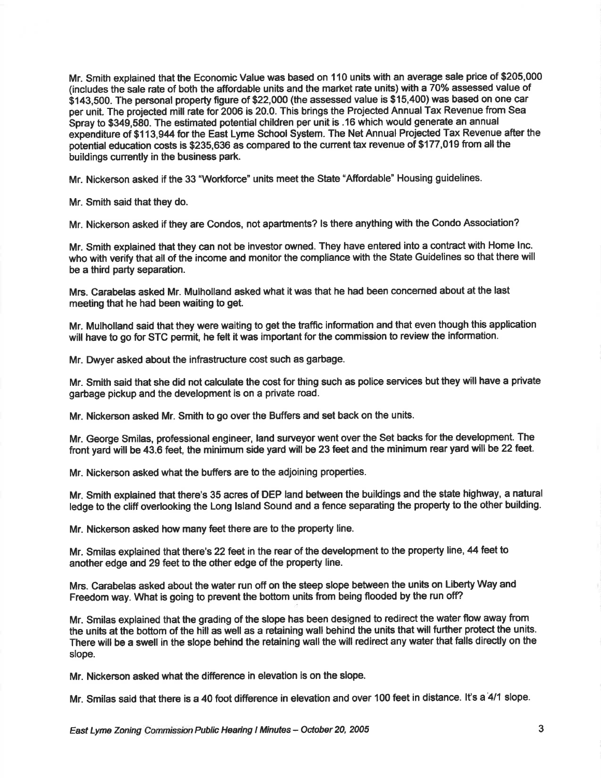Mr. Smith explained that the Economic Value was based on 110 units with an average sale price of \$205,000 (includes the sale rate of both the affordable units and the market rate units) with a 70% assessed value of \$143,500. The personal property figure of \$22,000 (the assessed value is \$15,400) was based on one car per unit. The projected mill rate for 2006 is 20.0. This brings the Projected Annual Tax Revenue from Sea Spray to \$349,580. The estimated potential children per unit is .16 which would generate an annual expenditure of \$113,944 br the East Lyme School System. The Net Annual Projected Tax Revenue after the potential education costs is \$235,636 as compared to the current tax revenue of \$177,019 from all the buildings cunently in the business park.

Mr. Nickerson asked if the 33 "Workforce" units meet the State "Affordable" Housing guidelines.

Mr. Smith said that they do.

Mr. Nickerson asked if they are Condos, not apartments? ls there anything with the Condo Association?

Mr. Smith explained that they can not be investor owned. They have entered into a contract with Home lnc. who with verify that all of the income and monitor the compliance with the State Guidelines so that there will be a third party separation.

Mrs. Carabelas asked Mr. Mulholland asked what it was that he had been concemed about at the last meeting that he had been waiting to get.

Mr. Mulholland said that they were waiting to get the traffic information and that even though this application will have to go for STC permit, he felt it was important for the commission to review the information.

Mr. Dwyer asked about the infrastructure cost such as garbage.

Mr. Smith said that she did not calculate the cost for thing such as police services but they will have a private garbage pickup and the development is on a private road.

Mr. Nickerson asked Mr. Smith to go over the Buffers and set back on the units.

Mr. George Smilas, professional engineer, land surveyor went over the Set backs for the development. The front yard will be 43.6 feet, the minimum side yard will be 23 feet and the minimum rear yard will be 22 feet.

Mr. Nickerson asked what the buffers are to the adjoining properties.

Mr. Smith explained that there's 35 acres of DEP land between the buildings and the state highway, a natural ledge to the cliff overlooking the Long Island Sound and a fence separating the property to the other building.

Mr. Nickerson asked how many feet there are to the property line.

Mr. Smilas explained that there's 22 feet in the rear of the development to the property line, 44 feet to another edge and 29 feet to the other edge of the property line.

Mrs. Carabelas asked about the water run off on the steep slope between the units on Liberty Way and Freedom way. What is going to prevent the bottom units from being flooded by the run off?

Mr. Smilas explained that the grading of the slope has been designed to redirect the water flow away from the units at the bottom of the hill as well as a retaining wall behind the units that will further protect the units. There will be a swell in the slope behind the retaining wall the will redirect any water that falls directly on the slope.

Mr. Nickerson asked what the difference in elevation is on the slope.

Mr. Smilas said that there is a 40 foot difference in elevation and over 100 feet in distance. lt's a'4l1slope.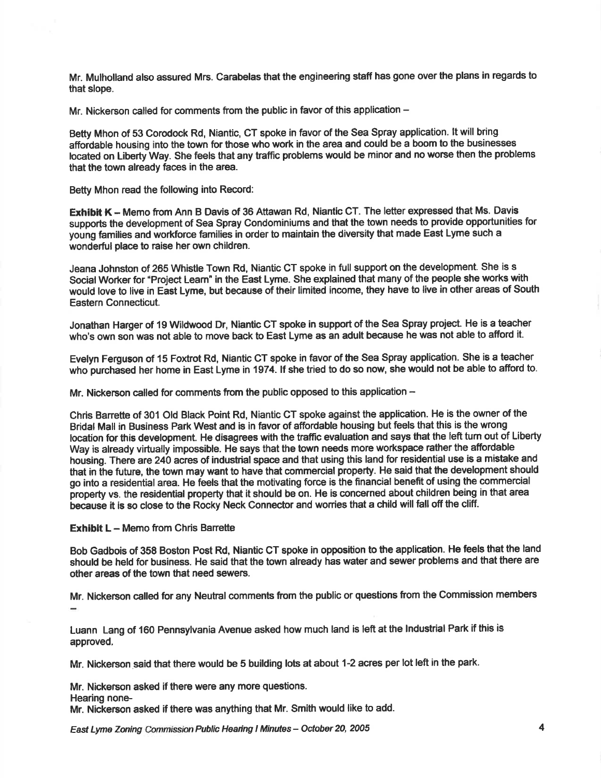Mr. Mulholland also assured Mrs. Carabelas that the engineering staff has gone over the plans in regards to that slope.

Mr. Nickerson called for comments from the public in favor of this application -

Betty Mhon of 53 Corodock Rd, Niantic, CT spoke in favor of the Sea Spray application. lt will bring affordable housing into the town for those who work in the area and could be a boom to the businesses located on Liberty Way. She feels that any traffic problems would be minor and no worse then the problems that the town already faces in the area.

Betty Mhon read the following into Record:

Exhibit K - Memo from Ann B Davis of 36 Attawan Rd, Niantic CT. The letter expressed that Ms. Davis supports the development of Sea Spray Condominiums and that the town needs to provide opportunities for young families and workforce families in order to maintain the diversity that made East Lyme such a wonderful place to raise her own children.

Jeana Johnston of 265 Whistle Town Rd, Niantic CT spoke in full support on the development. She is s Social Worker for "Project Leam" in the East Lyme. She explained that many of the people she works with . would love to live in Eist Lyme, but because of their limited income, they have to live in other areas of South Eastern Connecticut.

Jonathan Harger of 19 Wildwood Dr, Niantic GT spoke in support of the Sea Spray project. He is a teacher who's own son was not able to move back to East Lyme as an adult because he was not able to afford it.

Evelyn Ferguson of 15 Foxtrot Rd, Niantic CT spoke in favor of the Sea Spray application. She is a teacher who purchased her home in East Lyme in 1974. If she tried to do so now, she would not be able to afford to.

Mr. Nickerson called for comments from the public opposed to this application  $-$ 

Chris Barrette of 301 Old Black Point Rd, Niantic CT spoke against the application. He is the owner of the Bridal Mall in Business Park West and is in favor of affordable housing but feels that this is the wrong location for this development. He disagrees with the traffic evaluation and says that the left tum out of Liberty Way is already virtually impossible. He says that the town needs more workspace rather the affordable housing. There are24O acres of industrial space and that using this land for residential use is a mistake and that in the future, the town may want to have that commercial property. He said that the development should go into a residential area. He feels that the motivating force is the financial benefit of using the commercial property vs. the residential property that it should be on. He is concerned about children being in that area because it is so close to the Rocky Neck Connector and wonies that a child will fall off the cliff.

Exhibit  $L -$  Memo from Chris Barrette

Bob Gadbois of 358 Boston Post Rd, Niantic CT spoke in opposition to the application. He feels that the land should be held for business. He said that the town already has water and sewer problems and that there are other areas of the town that need sewers.

Mr. Nickerson called for any Neutral comments from the public or questions ftom the Commission members

Luann Lang of 160 Pennsylvania Avenue asked how much land is left at the lndustrial Park if this is approved.

Mr. Nickerson said that there would be 5 building lots at about 1-2 acres per lot left in the park.

Mr. Nickerson asked if there were any more questions. Hearing none-Mr. Nickerson asked if there was anything that Mr. Smith would like to add.

East Lyme Zoning Commission Public Hearing I Minutes - October 20, 2005 4